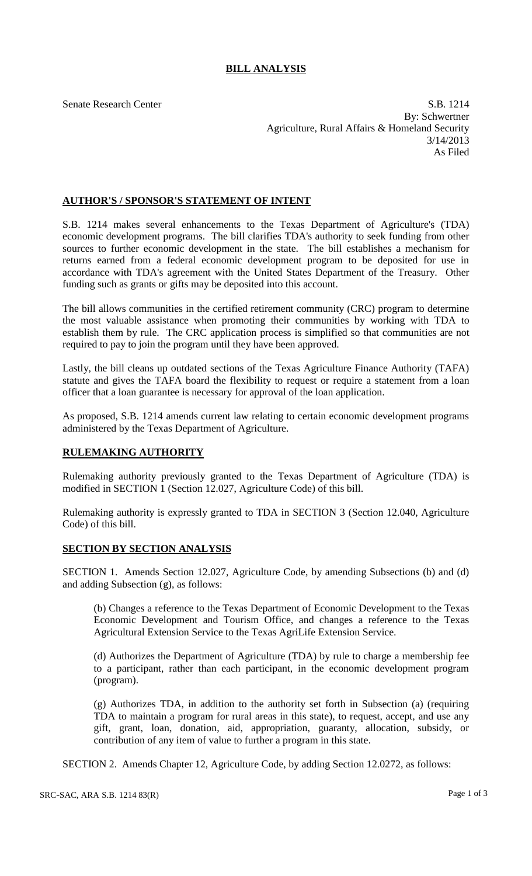## **BILL ANALYSIS**

Senate Research Center S.B. 1214 By: Schwertner Agriculture, Rural Affairs & Homeland Security 3/14/2013 As Filed

## **AUTHOR'S / SPONSOR'S STATEMENT OF INTENT**

S.B. 1214 makes several enhancements to the Texas Department of Agriculture's (TDA) economic development programs. The bill clarifies TDA's authority to seek funding from other sources to further economic development in the state. The bill establishes a mechanism for returns earned from a federal economic development program to be deposited for use in accordance with TDA's agreement with the United States Department of the Treasury. Other funding such as grants or gifts may be deposited into this account.

The bill allows communities in the certified retirement community (CRC) program to determine the most valuable assistance when promoting their communities by working with TDA to establish them by rule. The CRC application process is simplified so that communities are not required to pay to join the program until they have been approved.

Lastly, the bill cleans up outdated sections of the Texas Agriculture Finance Authority (TAFA) statute and gives the TAFA board the flexibility to request or require a statement from a loan officer that a loan guarantee is necessary for approval of the loan application.

As proposed, S.B. 1214 amends current law relating to certain economic development programs administered by the Texas Department of Agriculture.

## **RULEMAKING AUTHORITY**

Rulemaking authority previously granted to the Texas Department of Agriculture (TDA) is modified in SECTION 1 (Section 12.027, Agriculture Code) of this bill.

Rulemaking authority is expressly granted to TDA in SECTION 3 (Section 12.040, Agriculture Code) of this bill.

## **SECTION BY SECTION ANALYSIS**

SECTION 1. Amends Section 12.027, Agriculture Code, by amending Subsections (b) and (d) and adding Subsection (g), as follows:

(b) Changes a reference to the Texas Department of Economic Development to the Texas Economic Development and Tourism Office, and changes a reference to the Texas Agricultural Extension Service to the Texas AgriLife Extension Service.

(d) Authorizes the Department of Agriculture (TDA) by rule to charge a membership fee to a participant, rather than each participant, in the economic development program (program).

(g) Authorizes TDA, in addition to the authority set forth in Subsection (a) (requiring TDA to maintain a program for rural areas in this state), to request, accept, and use any gift, grant, loan, donation, aid, appropriation, guaranty, allocation, subsidy, or contribution of any item of value to further a program in this state.

SECTION 2. Amends Chapter 12, Agriculture Code, by adding Section 12.0272, as follows: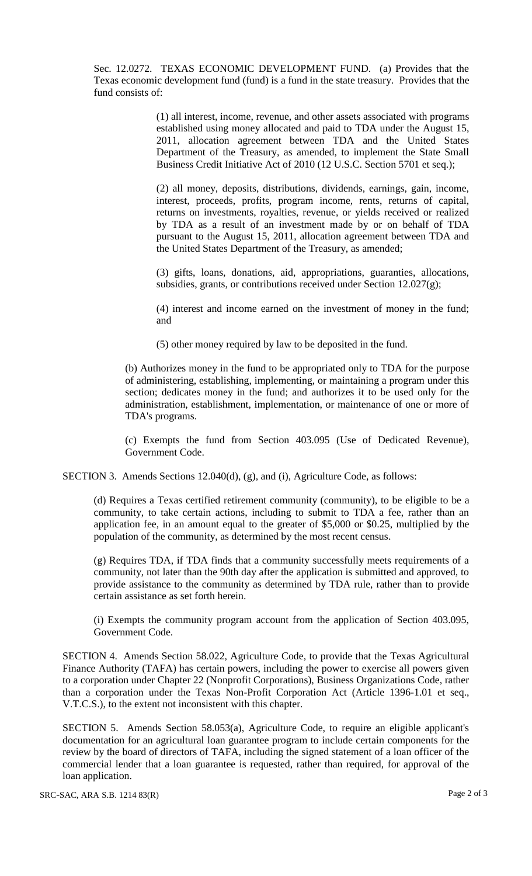Sec. 12.0272. TEXAS ECONOMIC DEVELOPMENT FUND. (a) Provides that the Texas economic development fund (fund) is a fund in the state treasury. Provides that the fund consists of:

> (1) all interest, income, revenue, and other assets associated with programs established using money allocated and paid to TDA under the August 15, 2011, allocation agreement between TDA and the United States Department of the Treasury, as amended, to implement the State Small Business Credit Initiative Act of 2010 (12 U.S.C. Section 5701 et seq.);

> (2) all money, deposits, distributions, dividends, earnings, gain, income, interest, proceeds, profits, program income, rents, returns of capital, returns on investments, royalties, revenue, or yields received or realized by TDA as a result of an investment made by or on behalf of TDA pursuant to the August 15, 2011, allocation agreement between TDA and the United States Department of the Treasury, as amended;

> (3) gifts, loans, donations, aid, appropriations, guaranties, allocations, subsidies, grants, or contributions received under Section 12.027(g);

> (4) interest and income earned on the investment of money in the fund; and

(5) other money required by law to be deposited in the fund.

(b) Authorizes money in the fund to be appropriated only to TDA for the purpose of administering, establishing, implementing, or maintaining a program under this section; dedicates money in the fund; and authorizes it to be used only for the administration, establishment, implementation, or maintenance of one or more of TDA's programs.

(c) Exempts the fund from Section 403.095 (Use of Dedicated Revenue), Government Code.

SECTION 3. Amends Sections 12.040(d), (g), and (i), Agriculture Code, as follows:

(d) Requires a Texas certified retirement community (community), to be eligible to be a community, to take certain actions, including to submit to TDA a fee, rather than an application fee, in an amount equal to the greater of \$5,000 or \$0.25, multiplied by the population of the community, as determined by the most recent census.

(g) Requires TDA, if TDA finds that a community successfully meets requirements of a community, not later than the 90th day after the application is submitted and approved, to provide assistance to the community as determined by TDA rule, rather than to provide certain assistance as set forth herein.

(i) Exempts the community program account from the application of Section 403.095, Government Code.

SECTION 4. Amends Section 58.022, Agriculture Code, to provide that the Texas Agricultural Finance Authority (TAFA) has certain powers, including the power to exercise all powers given to a corporation under Chapter 22 (Nonprofit Corporations), Business Organizations Code, rather than a corporation under the Texas Non-Profit Corporation Act (Article 1396-1.01 et seq., V.T.C.S.), to the extent not inconsistent with this chapter.

SECTION 5. Amends Section 58.053(a), Agriculture Code, to require an eligible applicant's documentation for an agricultural loan guarantee program to include certain components for the review by the board of directors of TAFA, including the signed statement of a loan officer of the commercial lender that a loan guarantee is requested, rather than required, for approval of the loan application.